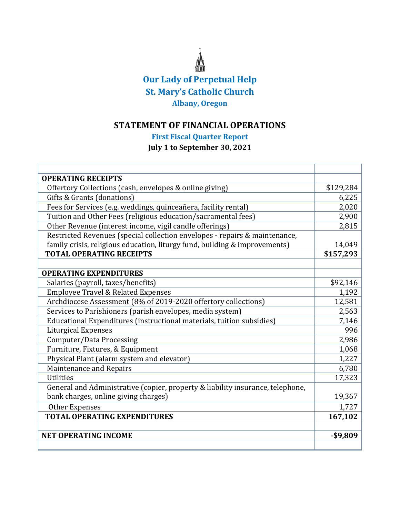# **Our Lady of Perpetual Help St. Mary's Catholic Church Albany, Oregon**

## **STATEMENT OF FINANCIAL OPERATIONS**

## **First Fiscal Quarter Report**

### **July 1 to September 30, 2021**

| <b>OPERATING RECEIPTS</b>                                                      |           |  |
|--------------------------------------------------------------------------------|-----------|--|
| Offertory Collections (cash, envelopes & online giving)                        | \$129,284 |  |
| Gifts & Grants (donations)                                                     |           |  |
| Fees for Services (e.g. weddings, quinceañera, facility rental)                |           |  |
| Tuition and Other Fees (religious education/sacramental fees)                  |           |  |
| Other Revenue (interest income, vigil candle offerings)                        |           |  |
| Restricted Revenues (special collection envelopes - repairs & maintenance,     |           |  |
| family crisis, religious education, liturgy fund, building & improvements)     |           |  |
| <b>TOTAL OPERATING RECEIPTS</b>                                                |           |  |
|                                                                                |           |  |
| <b>OPERATING EXPENDITURES</b>                                                  |           |  |
| Salaries (payroll, taxes/benefits)                                             | \$92,146  |  |
| <b>Employee Travel &amp; Related Expenses</b>                                  | 1,192     |  |
| Archdiocese Assessment (8% of 2019-2020 offertory collections)                 |           |  |
| Services to Parishioners (parish envelopes, media system)                      |           |  |
| Educational Expenditures (instructional materials, tuition subsidies)          |           |  |
| <b>Liturgical Expenses</b>                                                     |           |  |
| Computer/Data Processing                                                       |           |  |
| Furniture, Fixtures, & Equipment                                               |           |  |
| Physical Plant (alarm system and elevator)                                     |           |  |
| Maintenance and Repairs                                                        |           |  |
| <b>Utilities</b>                                                               | 17,323    |  |
| General and Administrative (copier, property & liability insurance, telephone, |           |  |
| bank charges, online giving charges)                                           |           |  |
| Other Expenses                                                                 |           |  |
| <b>TOTAL OPERATING EXPENDITURES</b>                                            |           |  |
|                                                                                |           |  |
| <b>NET OPERATING INCOME</b>                                                    | $-$9,809$ |  |
|                                                                                |           |  |